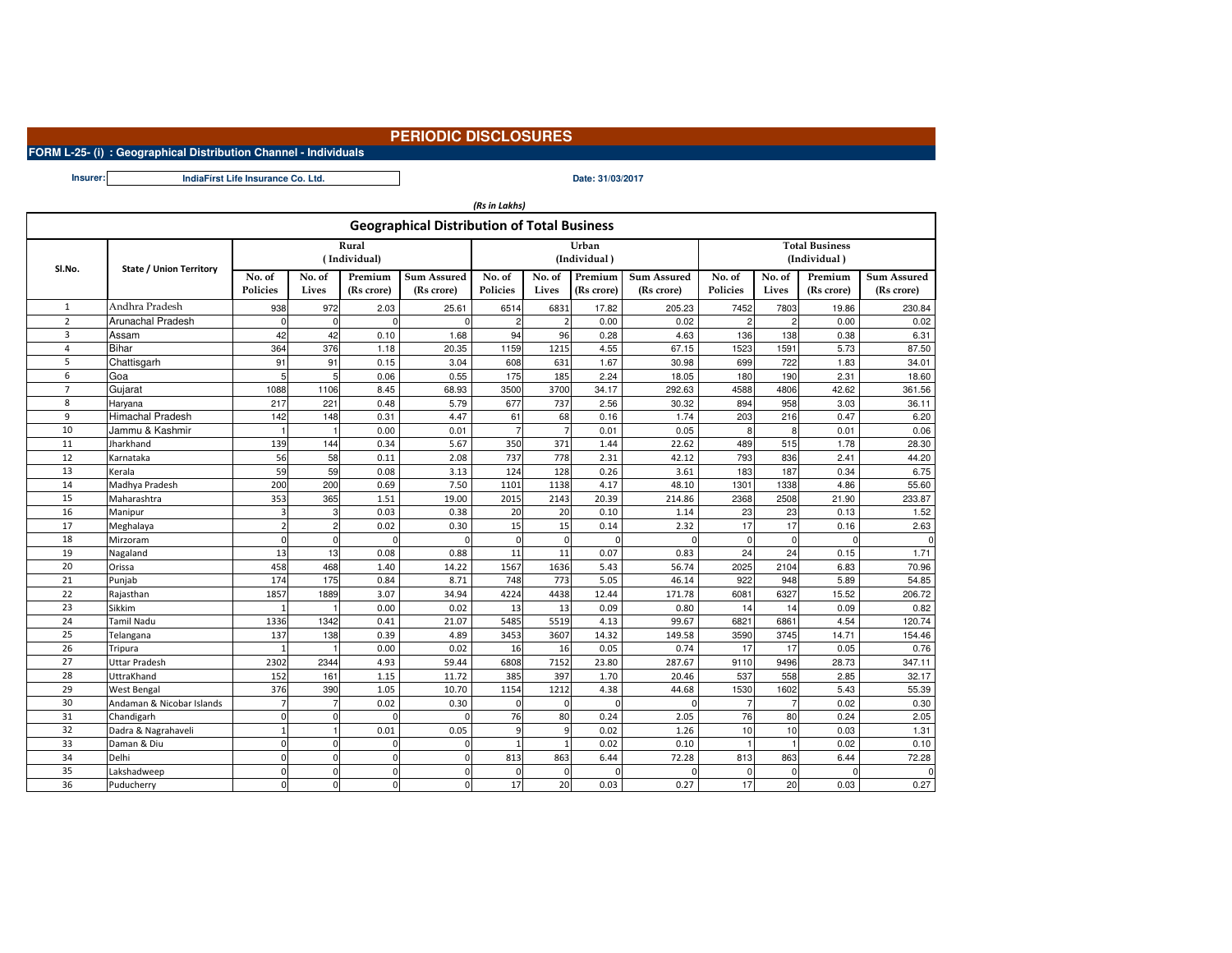## **PERIODIC DISCLOSURES**

**FORM L-25- (i) : Geographical Distribution Channel - Individuals**

**Insurer:**

**Date: 31/03/2017IndiaFírst Life Insurance Co. Ltd.**

| (Rs in Lakhs)                                      |                                    |                         |                |              |                    |                 |                |               |                    |                       |                |               |                    |
|----------------------------------------------------|------------------------------------|-------------------------|----------------|--------------|--------------------|-----------------|----------------|---------------|--------------------|-----------------------|----------------|---------------|--------------------|
| <b>Geographical Distribution of Total Business</b> |                                    |                         |                |              |                    |                 |                |               |                    |                       |                |               |                    |
|                                                    | State / Union Territory            | Rural                   |                |              |                    |                 |                | Urban         |                    | <b>Total Business</b> |                |               |                    |
| SI.No.                                             |                                    | (Individual)            |                |              |                    |                 |                | (Individual)  |                    | (Individual)          |                |               |                    |
|                                                    |                                    | No. of                  | No. of         | Premium      | <b>Sum Assured</b> | No. of          | No. of         | Premium       | <b>Sum Assured</b> | No. of                | No. of         | Premium       | <b>Sum Assured</b> |
|                                                    |                                    | Policies                | Lives          | (Rs crore)   | (Rs crore)         | <b>Policies</b> | Lives          | (Rs crore)    | (Rs crore)         | <b>Policies</b>       | Lives          | (Rs crore)    | (Rs crore)         |
| $\mathbf{1}$                                       | Andhra Pradesh                     | 938                     | 972            | 2.03         | 25.61              | 6514            | 6831           | 17.82         | 205.23             | 7452                  | 7803           | 19.86         | 230.84             |
| $\overline{2}$                                     | Arunachal Pradesh                  | $\mathbf 0$             | $\Omega$       | $\Omega$     | $\Omega$           | $\overline{2}$  | 2 <sup>1</sup> | 0.00          | 0.02               | $\mathfrak{p}$        | $\overline{c}$ | 0.00          | 0.02               |
| $\overline{3}$                                     | Assam                              | 42                      | 42             | 0.10         | 1.68               | 94              | 96             | 0.28          | 4.63               | 136                   | 138            | 0.38          | 6.31               |
| $\overline{4}$                                     | <b>Bihar</b>                       | 364                     | 376            | 1.18         | 20.35              | 1159            | 1215           | 4.55          | 67.15              | 1523                  | 1591           | 5.73          | 87.50              |
| 5                                                  | Chattisgarh                        | 91                      | 91             | 0.15         | 3.04               | 608             | 631            | 1.67          | 30.98              | 699                   | 722            | 1.83          | 34.01              |
| 6                                                  | Goa                                | 5                       | 5              | 0.06         | 0.55               | 175             | 185            | 2.24          | 18.05              | 180                   | 190            | 2.31          | 18.60              |
| $\overline{7}$                                     | Gujarat                            | 1088                    | 1106           | 8.45         | 68.93              | 3500            | 3700           | 34.17         | 292.63             | 4588                  | 4806           | 42.62         | 361.56             |
| 8                                                  | Haryana                            | 217                     | 221            | 0.48         | 5.79               | 677             | 737            | 2.56          | 30.32              | 894                   | 958            | 3.03          | 36.11              |
| 9                                                  | Himachal Pradesh                   | 142                     | 148            | 0.31         | 4.47               | 61              | 68             | 0.16          | 1.74               | 203                   | 216            | 0.47          | 6.20               |
| 10                                                 | Jammu & Kashmir                    |                         |                | 0.00         | 0.01               | $\overline{7}$  | $\overline{7}$ | 0.01          | 0.05               | 8                     | 8              | 0.01          | 0.06               |
| 11                                                 | Jharkhand                          | 139                     | 144            | 0.34         | 5.67               | 350             | 371            | 1.44          | 22.62              | 489                   | 515            | 1.78          | 28.30              |
| 12                                                 | Karnataka                          | 56                      | 58             | 0.11         | 2.08               | 737             | 778            | 2.31          | 42.12              | 793                   | 836            | 2.41          | 44.20              |
| 13                                                 | Kerala                             | 59                      | 59             | 0.08         | 3.13               | 124             | 128            | 0.26          | 3.61               | 183                   | 187            | 0.34          | 6.75               |
| 14                                                 | Madhya Pradesh                     | 200                     | 200            | 0.69         | 7.50               | 1101            | 1138           | 4.17          | 48.10              | 1301                  | 1338           | 4.86          | 55.60              |
| 15                                                 | Maharashtra                        | 353                     | 365            | 1.51         | 19.00              | 2015            | 2143           | 20.39         | 214.86             | 2368                  | 2508           | 21.90         | 233.87             |
| 16                                                 | Manipur                            | з                       | 3              | 0.03         | 0.38               | 20              | 20             | 0.10          | 1.14               | 23                    | 23             | 0.13          | 1.52               |
| 17                                                 | Meghalaya                          | $\overline{\mathbf{c}}$ | $\overline{2}$ | 0.02         | 0.30               | 15              | 15             | 0.14          | 2.32               | 17                    | 17             | 0.16          | 2.63               |
| 18                                                 | Mirzoram                           | $\Omega$                | $\Omega$       | $\Omega$     | $\Omega$           | $\Omega$        | $\mathbf{0}$   | $\Omega$      |                    | $\Omega$              | $\Omega$       | $\Omega$      | $\Omega$           |
| 19                                                 | Nagaland                           | 13                      | 13             | 0.08         | 0.88               | 11              | 11             | 0.07          | 0.83               | 24                    | 24             | 0.15          | 1.71               |
| 20                                                 | Orissa                             | 458                     | 468            | 1.40         | 14.22              | 1567            | 1636           | 5.43          | 56.74              | 2025                  | 2104           | 6.83          | 70.96              |
| 21                                                 | Punjab                             | 174                     | 175            | 0.84         | 8.71               | 748             | 773            | 5.05          | 46.14              | 922                   | 948            | 5.89          | 54.85              |
| 22                                                 | Rajasthan                          | 1857                    | 1889           | 3.07         | 34.94              | 4224            | 4438           | 12.44         | 171.78             | 6081                  | 6327           | 15.52         | 206.72             |
| 23                                                 | Sikkim                             |                         |                | 0.00         | 0.02               | 13              | 13             | 0.09          | 0.80               | 14                    | 14             | 0.09          | 0.82               |
| 24                                                 | Tamil Nadu                         | 1336                    | 1342           | 0.41         | 21.07              | 5485            | 5519           | 4.13          | 99.67              | 6821                  | 6861           | 4.54          | 120.74             |
| 25<br>26                                           | Telangana                          | 137                     | 138            | 0.39         | 4.89               | 3453            | 3607           | 14.32         | 149.58             | 3590                  | 3745           | 14.71         | 154.46             |
| 27                                                 | Tripura                            |                         |                | 0.00         | 0.02               | 16              | 16<br>7152     | 0.05          | 0.74               | 17                    | 17             | 0.05          | 0.76               |
| 28                                                 | <b>Uttar Pradesh</b><br>UttraKhand | 2302<br>152             | 2344<br>161    | 4.93<br>1.15 | 59.44<br>11.72     | 6808<br>385     | 397            | 23.80<br>1.70 | 287.67<br>20.46    | 9110<br>537           | 9496<br>558    | 28.73<br>2.85 | 347.11<br>32.17    |
| 29                                                 | West Bengal                        | 376                     | 390            | 1.05         | 10.70              | 1154            | 1212           | 4.38          | 44.68              | 1530                  | 1602           | 5.43          | 55.39              |
| 30                                                 | Andaman & Nicobar Islands          | $\overline{7}$          | $\overline{7}$ | 0.02         | 0.30               | $\mathbf 0$     | $\mathbf{0}$   | $\Omega$      |                    | 7                     | $\overline{7}$ | 0.02          | 0.30               |
| 31                                                 | Chandigarh                         | $\mathbf 0$             | $\mathbf 0$    | $\Omega$     | $\Omega$           | 76              | 80             | 0.24          | 2.05               | 76                    | 80             | 0.24          | 2.05               |
| 32                                                 | Dadra & Nagrahaveli                | $\overline{1}$          | 1              | 0.01         | 0.05               | 9               | $\overline{9}$ | 0.02          | 1.26               | 10                    | 10             | 0.03          | 1.31               |
| 33                                                 | Daman & Diu                        | $\Omega$                | $\mathbf 0$    | $\Omega$     | $\mathbf 0$        | $\mathbf{1}$    | $\mathbf{1}$   | 0.02          | 0.10               |                       |                | 0.02          | 0.10               |
| 34                                                 | Delhi                              | $\Omega$                | $\Omega$       | $\Omega$     | $\mathbf{0}$       | 813             | 863            | 6.44          | 72.28              | 813                   | 863            | 6.44          | 72.28              |
| 35                                                 | Lakshadweep                        | $\Omega$                | $\mathbf 0$    | $\Omega$     | $\mathbf{0}$       | $\mathbf 0$     | $\mathbf{0}$   | $\Omega$      | n                  | $\Omega$              | $\Omega$       |               | $\Omega$           |
| 36                                                 | Puducherry                         | $\Omega$                | $\Omega$       | $\Omega$     | $\Omega$           | 17              | 20             | 0.03          | 0.27               | 17                    | 20             | 0.03          | 0.27               |
|                                                    |                                    |                         |                |              |                    |                 |                |               |                    |                       |                |               |                    |